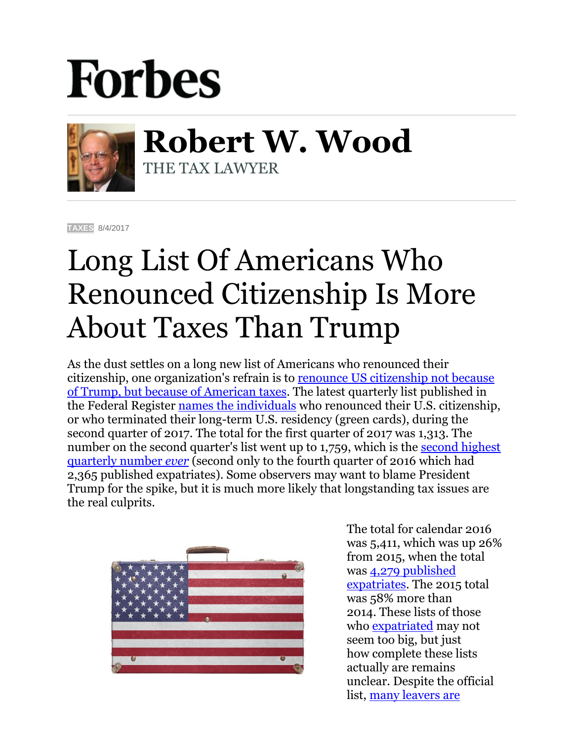## **Forbes**



**Robert W. Wood** THE TAX LAWYER

**[TAXES](https://www.forbes.com/taxes)** 8/4/2017

## Long List Of Americans Who Renounced Citizenship Is More About Taxes Than Trump

As the dust settles on a long new list of Americans who renounced their citizenship, one organization's refrain is to [renounce US citizenship not because](https://americansoverseas.org/en/americans-are-giving-up-their-citizenship-at-record-rates-but-not-because-of-trump/)  [of Trump, but because of American taxes.](https://americansoverseas.org/en/americans-are-giving-up-their-citizenship-at-record-rates-but-not-because-of-trump/) The latest quarterly list published in the Federal Register [names the individuals](https://www.federalregister.gov/documents/2017/08/03/2017-16318/quarterly-publication-of-individuals-who-have-chosen-to-expatriate-as-required-by-section-6039g) who renounced their U.S. citizenship, or who terminated their long-term U.S. residency (green cards), during the second quarter of 2017. The total for the first quarter of 2017 was 1,313. The number on the second quarter's list went up to 1,759, which is the second highest [quarterly number](http://intltax.typepad.com/intltax_blog/2017/08/2017-second-quarter-published-expatriates-second-highest-ever.html) *ever* (second only to the fourth quarter of 2016 which had 2,365 published expatriates). Some observers may want to blame President Trump for the spike, but it is much more likely that longstanding tax issues are the real culprits.



The total for calendar 2016 was 5,411, which was up 26% from 2015, when the total was [4,279 published](http://intltax.typepad.com/intltax_blog/2016/02/new-expatriate-record-2015-nearly-4300-expatriations.html)  [expatriates.](http://intltax.typepad.com/intltax_blog/2016/02/new-expatriate-record-2015-nearly-4300-expatriations.html) The 2015 total was 58% more than 2014. These lists of those who [expatriated](https://www.federalregister.gov/documents/2017/05/10/2017-09475/quarterly-publication-of-individuals-who-have-chosen-to-expatriate-as-required-by-section-6039g) may not seem too big, but just how complete these lists actually are remains unclear. Despite the official list, [many leavers are](http://www.forbes.com/sites/robertwood/2014/05/03/americans-are-renouncing-citizenship-at-record-pace-and-many-arent-even-counted/)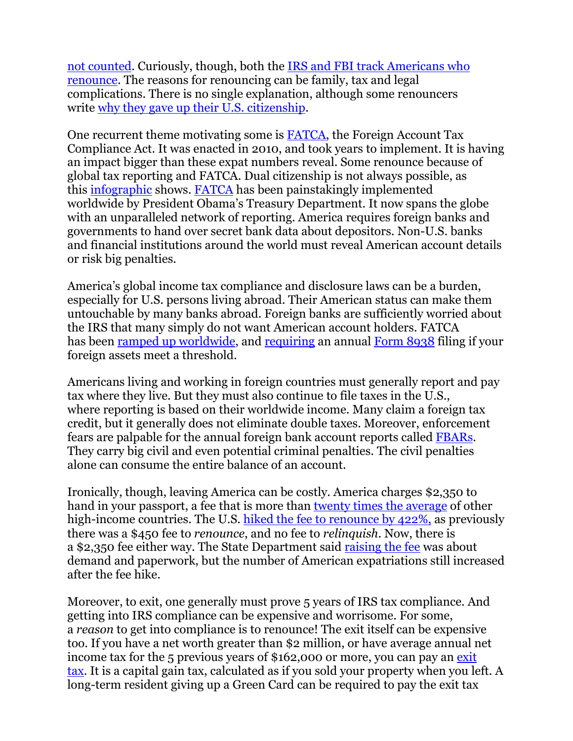not [counted.](http://www.forbes.com/sites/robertwood/2014/05/03/americans-are-renouncing-citizenship-at-record-pace-and-many-arent-even-counted/) Curiously, though, both the [IRS and FBI track Americans who](http://www.forbes.com/sites/robertwood/2015/09/21/irs-and-fbi-track-americans-who-renounce-citizenship-why-is-fbi-list-longer/#38baa14c2f84)  [renounce.](http://www.forbes.com/sites/robertwood/2015/09/21/irs-and-fbi-track-americans-who-renounce-citizenship-why-is-fbi-list-longer/#38baa14c2f84) The reasons for renouncing can be family, tax and legal complications. There is no single explanation, although some renouncers write why they gave up their [U.S. citizenship.](http://www.forbes.com/sites/robertwood/2016/02/18/dear-mrs-obama-why-i-gave-up-my-u-s-citizenship/#1b2abc0d4429)

One recurrent theme motivating some is [FATCA,](http://www.irs.gov/businesses/corporations/article/0,,id=236667,00.html) the Foreign Account Tax Compliance Act. It was enacted in 2010, and took years to implement. It is having an impact bigger than these expat numbers reveal. Some renounce because of global tax reporting and FATCA. Dual citizenship is not always possible, as this [infographic](http://www.movehub.com/blog/dual-citizenship-around-the-world-map) shows. [FATCA](http://www.irs.gov/businesses/corporations/article/0,,id=236667,00.html) has been painstakingly implemented worldwide by President Obama's Treasury Department. It now spans the globe with an unparalleled network of reporting. America requires foreign banks and governments to hand over secret bank data about depositors. Non-U.S. banks and financial institutions around the world must reveal American account details or risk big penalties.

America's global income tax compliance and disclosure laws can be a burden, especially for U.S. persons living abroad. Their American status can make them untouchable by many banks abroad. Foreign banks are sufficiently worried about the IRS that many simply do not want American account holders. FATCA has been [ramped up worldwide,](http://www.forbes.com/sites/robertwood/2013/09/24/fatcas-bleak-choices-for-accounts-income-disclosure/) and [requiring](http://www.irs.gov/Businesses/Corporations/FATCA-Information-for-Individuals) an annual [Form 8938](https://www.irs.gov/uac/form-8938-statement-of-foreign-financial-assets) filing if your foreign assets meet a threshold.

Americans living and working in foreign countries must generally report and pay tax where they live. But they must also continue to file taxes in the U.S., where reporting is based on their worldwide income. Many claim a foreign tax credit, but it generally does not eliminate double taxes. Moreover, enforcement fears are palpable for the annual foreign bank account reports called [FBARs.](http://www.irs.gov/Businesses/Small-Businesses-&-Self-Employed/Report-of-Foreign-Bank-and-Financial-Accounts-FBAR) They carry big civil and even potential criminal penalties. The civil penalties alone can consume the entire balance of an account.

Ironically, though, leaving America can be costly. America charges \$2,350 to hand in your passport, a fee that is more than [twenty times the average](http://isaacbrocksociety.ca/2014/08/22/comparison-of-fees-and-procedures-for-renouncing-citizenship-in-various-countries/comment-page-1/) of other high-income countries. The U.S. hiked the [fee to renounce by 422%,](http://www.forbes.com/sites/robertwood/2014/08/28/u-s-hikes-fee-to-renounce-citizenship-by-422/) as previously there was a \$450 fee to *renounce*, and no fee to *relinquish*. Now, there is a \$2,350 fee either way. The State Department said [raising the fee](https://www.federalregister.gov/articles/2014/08/28/2014-20516/schedule-of-fees-for-consular-services-department-of-state-and-overseas-embassies-and#p-amd-2) was about demand and paperwork, but the number of American expatriations still increased after the fee hike.

Moreover, to exit, one generally must prove 5 years of IRS tax compliance. And getting into IRS compliance can be expensive and worrisome. For some, a *reason* to get into compliance is to renounce! The exit itself can be expensive too. If you have a net worth greater than \$2 million, or have average annual net income tax for the 5 previous years of \$162,000 or more, you can pay an exit [tax.](http://www.irs.gov/Individuals/International-Taxpayers/Expatriation-Tax) It is a capital gain tax, calculated as if you sold your property when you left. A long-term resident giving up a Green Card can be required to pay the exit tax